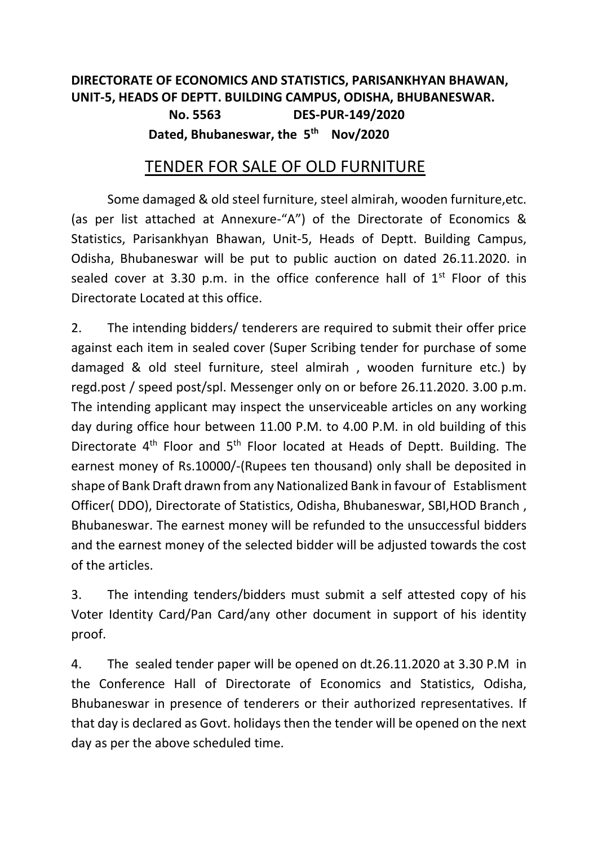## **DIRECTORATE OF ECONOMICS AND STATISTICS, PARISANKHYAN BHAWAN, UNIT-5, HEADS OF DEPTT. BUILDING CAMPUS, ODISHA, BHUBANESWAR. No. 5563 DES-PUR-149/2020 Dated, Bhubaneswar, the 5 th Nov/2020**

## TENDER FOR SALE OF OLD FURNITURE

Some damaged & old steel furniture, steel almirah, wooden furniture,etc. (as per list attached at Annexure-"A") of the Directorate of Economics & Statistics, Parisankhyan Bhawan, Unit-5, Heads of Deptt. Building Campus, Odisha, Bhubaneswar will be put to public auction on dated 26.11.2020. in sealed cover at 3.30 p.m. in the office conference hall of  $1<sup>st</sup>$  Floor of this Directorate Located at this office.

2. The intending bidders/ tenderers are required to submit their offer price against each item in sealed cover (Super Scribing tender for purchase of some damaged & old steel furniture, steel almirah , wooden furniture etc.) by regd.post / speed post/spl. Messenger only on or before 26.11.2020. 3.00 p.m. The intending applicant may inspect the unserviceable articles on any working day during office hour between 11.00 P.M. to 4.00 P.M. in old building of this Directorate  $4<sup>th</sup>$  Floor and  $5<sup>th</sup>$  Floor located at Heads of Deptt. Building. The earnest money of Rs.10000/-(Rupees ten thousand) only shall be deposited in shape of Bank Draft drawn from any Nationalized Bank in favour of Establisment Officer( DDO), Directorate of Statistics, Odisha, Bhubaneswar, SBI,HOD Branch , Bhubaneswar. The earnest money will be refunded to the unsuccessful bidders and the earnest money of the selected bidder will be adjusted towards the cost of the articles.

3. The intending tenders/bidders must submit a self attested copy of his Voter Identity Card/Pan Card/any other document in support of his identity proof.

4. The sealed tender paper will be opened on dt.26.11.2020 at 3.30 P.M in the Conference Hall of Directorate of Economics and Statistics, Odisha, Bhubaneswar in presence of tenderers or their authorized representatives. If that day is declared as Govt. holidays then the tender will be opened on the next day as per the above scheduled time.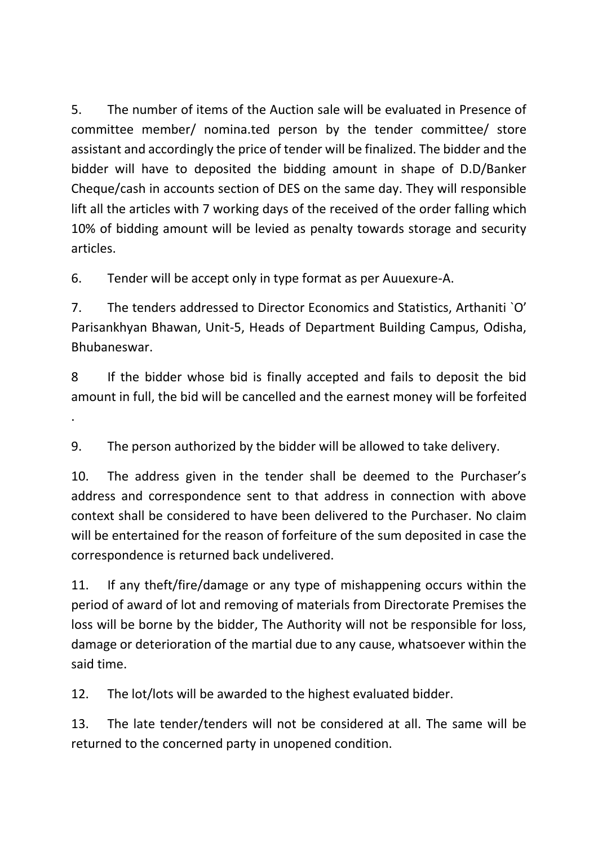5. The number of items of the Auction sale will be evaluated in Presence of committee member/ nomina.ted person by the tender committee/ store assistant and accordingly the price of tender will be finalized. The bidder and the bidder will have to deposited the bidding amount in shape of D.D/Banker Cheque/cash in accounts section of DES on the same day. They will responsible lift all the articles with 7 working days of the received of the order falling which 10% of bidding amount will be levied as penalty towards storage and security articles.

6. Tender will be accept only in type format as per Auuexure-A.

.

7. The tenders addressed to Director Economics and Statistics, Arthaniti `O' Parisankhyan Bhawan, Unit-5, Heads of Department Building Campus, Odisha, Bhubaneswar.

8 If the bidder whose bid is finally accepted and fails to deposit the bid amount in full, the bid will be cancelled and the earnest money will be forfeited

9. The person authorized by the bidder will be allowed to take delivery.

10. The address given in the tender shall be deemed to the Purchaser's address and correspondence sent to that address in connection with above context shall be considered to have been delivered to the Purchaser. No claim will be entertained for the reason of forfeiture of the sum deposited in case the correspondence is returned back undelivered.

11. If any theft/fire/damage or any type of mishappening occurs within the period of award of lot and removing of materials from Directorate Premises the loss will be borne by the bidder, The Authority will not be responsible for loss, damage or deterioration of the martial due to any cause, whatsoever within the said time.

12. The lot/lots will be awarded to the highest evaluated bidder.

13. The late tender/tenders will not be considered at all. The same will be returned to the concerned party in unopened condition.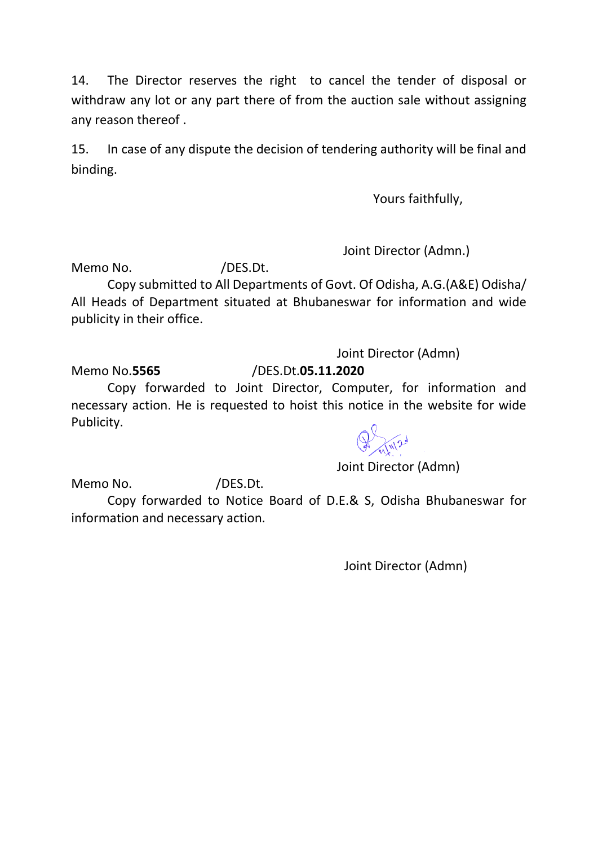14. The Director reserves the right to cancel the tender of disposal or withdraw any lot or any part there of from the auction sale without assigning any reason thereof .

15. In case of any dispute the decision of tendering authority will be final and binding.

Yours faithfully,

Joint Director (Admn.)

Memo No. (DES.Dt.)

Copy submitted to All Departments of Govt. Of Odisha, A.G.(A&E) Odisha/ All Heads of Department situated at Bhubaneswar for information and wide publicity in their office.

Joint Director (Admn)

Memo No.**5565** /DES.Dt.**05.11.2020**

Copy forwarded to Joint Director, Computer, for information and necessary action. He is requested to hoist this notice in the website for wide Publicity.



Joint Director (Admn)

Memo No. /DES.Dt.

Copy forwarded to Notice Board of D.E.& S, Odisha Bhubaneswar for information and necessary action.

Joint Director (Admn)